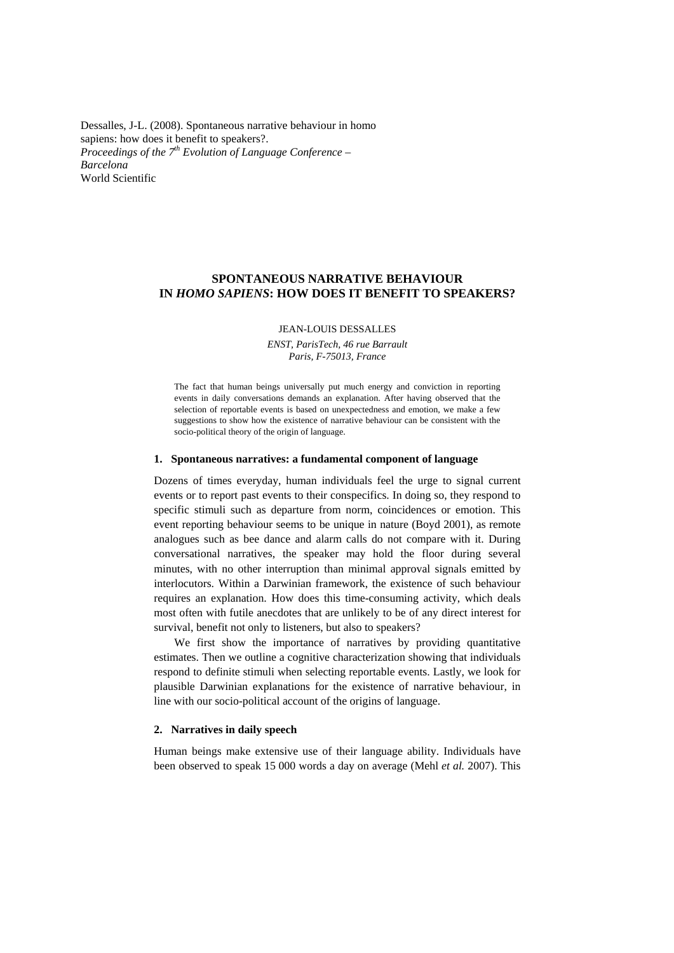Dessalles, J-L. (2008). Spontaneous narrative behaviour in homo sapiens: how does it benefit to speakers?. *Proceedings of the 7th Evolution of Language Conference – Barcelona* World Scientific

# **SPONTANEOUS NARRATIVE BEHAVIOUR IN** *HOMO SAPIENS***: HOW DOES IT BENEFIT TO SPEAKERS?**

JEAN-LOUIS DESSALLES

*ENST, ParisTech, 46 rue Barrault Paris, F-75013, France*

The fact that human beings universally put much energy and conviction in reporting events in daily conversations demands an explanation. After having observed that the selection of reportable events is based on unexpectedness and emotion, we make a few suggestions to show how the existence of narrative behaviour can be consistent with the socio-political theory of the origin of language.

#### **1. Spontaneous narratives: a fundamental component of language**

Dozens of times everyday, human individuals feel the urge to signal current events or to report past events to their conspecifics. In doing so, they respond to specific stimuli such as departure from norm, coincidences or emotion. This event reporting behaviour seems to be unique in nature (Boyd 2001), as remote analogues such as bee dance and alarm calls do not compare with it. During conversational narratives, the speaker may hold the floor during several minutes, with no other interruption than minimal approval signals emitted by interlocutors. Within a Darwinian framework, the existence of such behaviour requires an explanation. How does this time-consuming activity, which deals most often with futile anecdotes that are unlikely to be of any direct interest for survival, benefit not only to listeners, but also to speakers?

We first show the importance of narratives by providing quantitative estimates. Then we outline a cognitive characterization showing that individuals respond to definite stimuli when selecting reportable events. Lastly, we look for plausible Darwinian explanations for the existence of narrative behaviour, in line with our socio-political account of the origins of language.

## **2. Narratives in daily speech**

Human beings make extensive use of their language ability. Individuals have been observed to speak 15 000 words a day on average (Mehl *et al.* 2007). This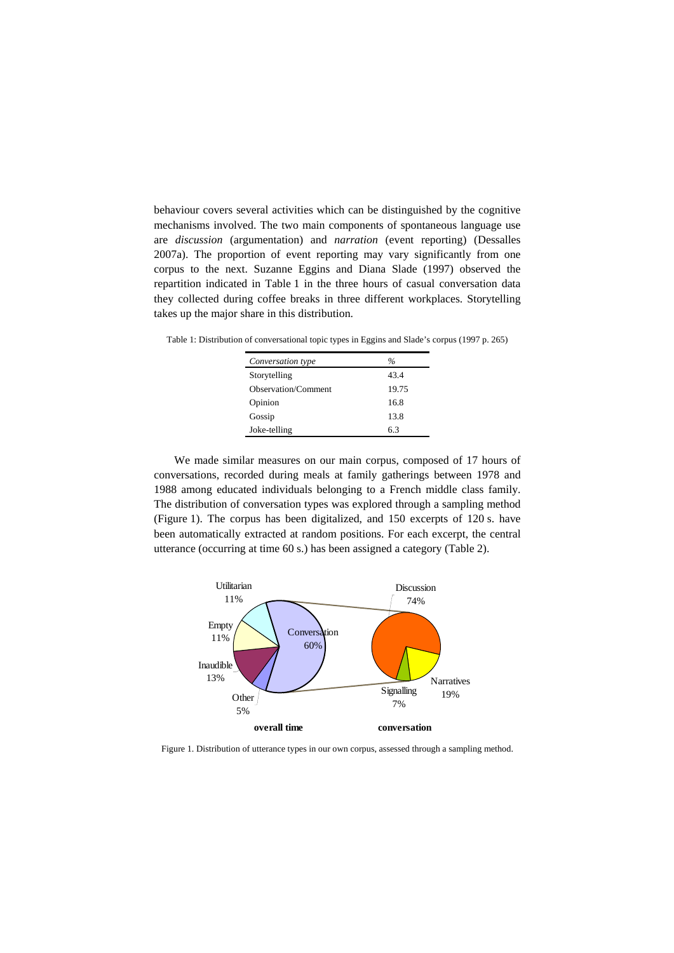behaviour covers several activities which can be distinguished by the cognitive mechanisms involved. The two main components of spontaneous language use are *discussion* (argumentation) and *narration* (event reporting) (Dessalles 2007a). The proportion of event reporting may vary significantly from one corpus to the next. Suzanne Eggins and Diana Slade (1997) observed the repartition indicated in Table 1 in the three hours of casual conversation data they collected during coffee breaks in three different workplaces. Storytelling takes up the major share in this distribution.

Table 1: Distribution of conversational topic types in Eggins and Slade's corpus (1997 p. 265)

| Conversation type   | $\%$  |
|---------------------|-------|
| Storytelling        | 43.4  |
| Observation/Comment | 19.75 |
| Opinion             | 16.8  |
| Gossip              | 13.8  |
| Joke-telling        | 63    |

We made similar measures on our main corpus, composed of 17 hours of conversations, recorded during meals at family gatherings between 1978 and 1988 among educated individuals belonging to a French middle class family. The distribution of conversation types was explored through a sampling method (Figure 1). The corpus has been digitalized, and 150 excerpts of 120 s. have been automatically extracted at random positions. For each excerpt, the central utterance (occurring at time 60 s.) has been assigned a category (Table 2).



Figure 1. Distribution of utterance types in our own corpus, assessed through a sampling method.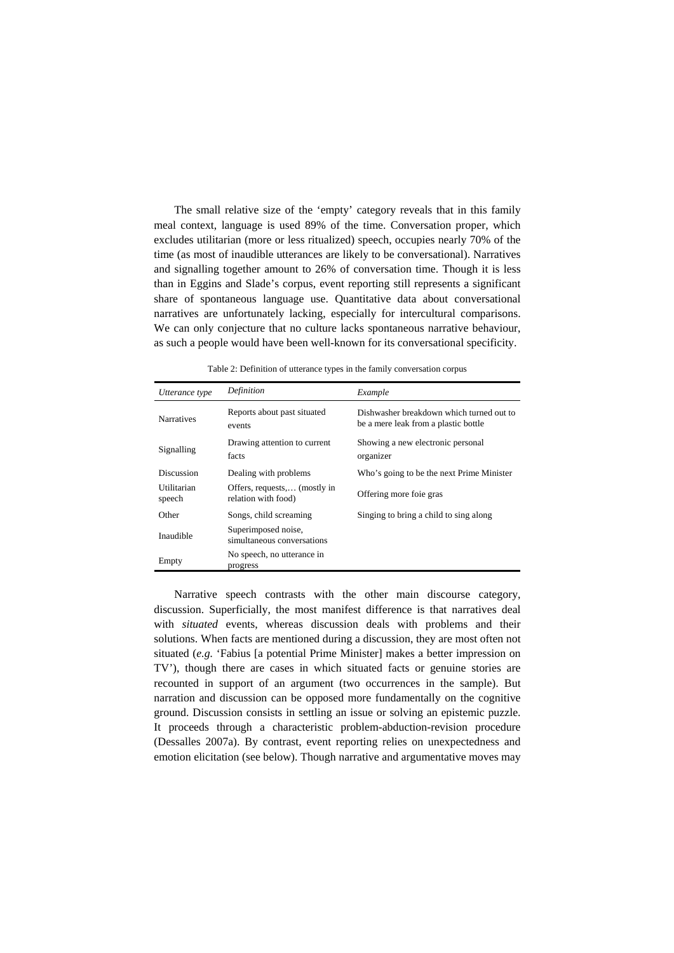The small relative size of the 'empty' category reveals that in this family meal context, language is used 89% of the time. Conversation proper, which excludes utilitarian (more or less ritualized) speech, occupies nearly 70% of the time (as most of inaudible utterances are likely to be conversational). Narratives and signalling together amount to 26% of conversation time. Though it is less than in Eggins and Slade's corpus, event reporting still represents a significant share of spontaneous language use. Quantitative data about conversational narratives are unfortunately lacking, especially for intercultural comparisons. We can only conjecture that no culture lacks spontaneous narrative behaviour, as such a people would have been well-known for its conversational specificity.

Table 2: Definition of utterance types in the family conversation corpus

| Utterance type        | Definition                                          | Example                                                                          |
|-----------------------|-----------------------------------------------------|----------------------------------------------------------------------------------|
| <b>Narratives</b>     | Reports about past situated<br>events               | Dishwasher breakdown which turned out to<br>be a mere leak from a plastic bottle |
| Signalling            | Drawing attention to current<br>facts               | Showing a new electronic personal<br>organizer                                   |
| Discussion            | Dealing with problems                               | Who's going to be the next Prime Minister                                        |
| Utilitarian<br>speech | Offers, requests, (mostly in<br>relation with food) | Offering more foie gras                                                          |
| Other                 | Songs, child screaming                              | Singing to bring a child to sing along                                           |
| Inaudible             | Superimposed noise,<br>simultaneous conversations   |                                                                                  |
| Empty                 | No speech, no utterance in<br>progress              |                                                                                  |

Narrative speech contrasts with the other main discourse category, discussion. Superficially, the most manifest difference is that narratives deal with *situated* events, whereas discussion deals with problems and their solutions. When facts are mentioned during a discussion, they are most often not situated (*e.g.* 'Fabius [a potential Prime Minister] makes a better impression on TV'), though there are cases in which situated facts or genuine stories are recounted in support of an argument (two occurrences in the sample). But narration and discussion can be opposed more fundamentally on the cognitive ground. Discussion consists in settling an issue or solving an epistemic puzzle. It proceeds through a characteristic problem-abduction-revision procedure (Dessalles 2007a). By contrast, event reporting relies on unexpectedness and emotion elicitation (see below). Though narrative and argumentative moves may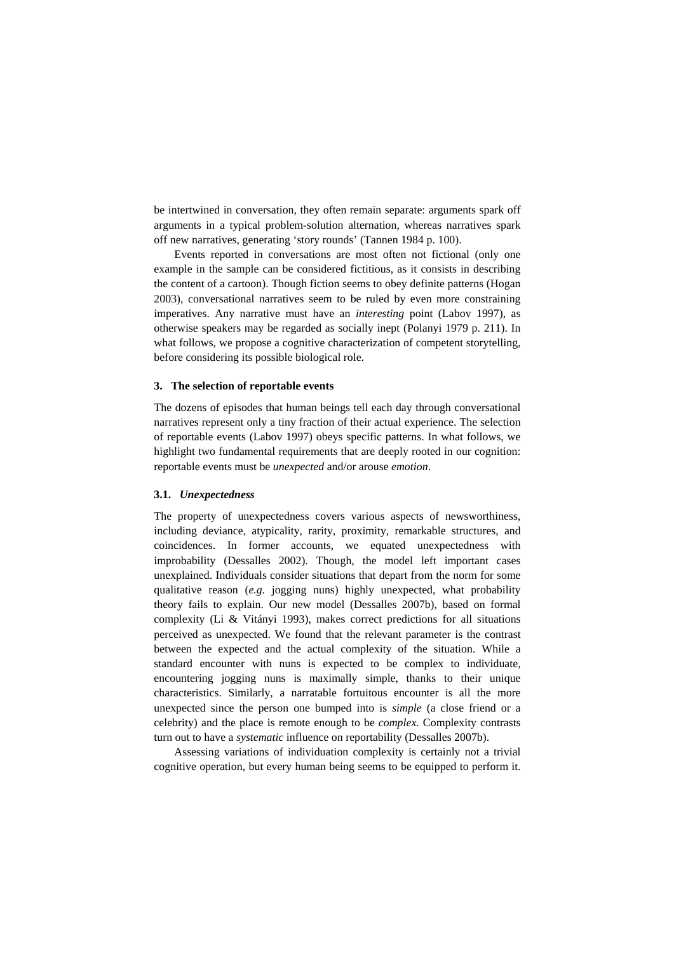be intertwined in conversation, they often remain separate: arguments spark off arguments in a typical problem-solution alternation, whereas narratives spark off new narratives, generating 'story rounds' (Tannen 1984 p. 100).

Events reported in conversations are most often not fictional (only one example in the sample can be considered fictitious, as it consists in describing the content of a cartoon). Though fiction seems to obey definite patterns (Hogan 2003), conversational narratives seem to be ruled by even more constraining imperatives. Any narrative must have an *interesting* point (Labov 1997), as otherwise speakers may be regarded as socially inept (Polanyi 1979 p. 211). In what follows, we propose a cognitive characterization of competent storytelling, before considering its possible biological role.

### **3. The selection of reportable events**

The dozens of episodes that human beings tell each day through conversational narratives represent only a tiny fraction of their actual experience. The selection of reportable events (Labov 1997) obeys specific patterns. In what follows, we highlight two fundamental requirements that are deeply rooted in our cognition: reportable events must be *unexpected* and/or arouse *emotion*.

### **3.1.** *Unexpectedness*

The property of unexpectedness covers various aspects of newsworthiness, including deviance, atypicality, rarity, proximity, remarkable structures, and coincidences. In former accounts, we equated unexpectedness with improbability (Dessalles 2002). Though, the model left important cases unexplained. Individuals consider situations that depart from the norm for some qualitative reason (*e.g.* jogging nuns) highly unexpected, what probability theory fails to explain. Our new model (Dessalles 2007b), based on formal complexity (Li & Vitányi 1993), makes correct predictions for all situations perceived as unexpected. We found that the relevant parameter is the contrast between the expected and the actual complexity of the situation. While a standard encounter with nuns is expected to be complex to individuate, encountering jogging nuns is maximally simple, thanks to their unique characteristics. Similarly, a narratable fortuitous encounter is all the more unexpected since the person one bumped into is *simple* (a close friend or a celebrity) and the place is remote enough to be *complex*. Complexity contrasts turn out to have a *systematic* influence on reportability (Dessalles 2007b).

Assessing variations of individuation complexity is certainly not a trivial cognitive operation, but every human being seems to be equipped to perform it.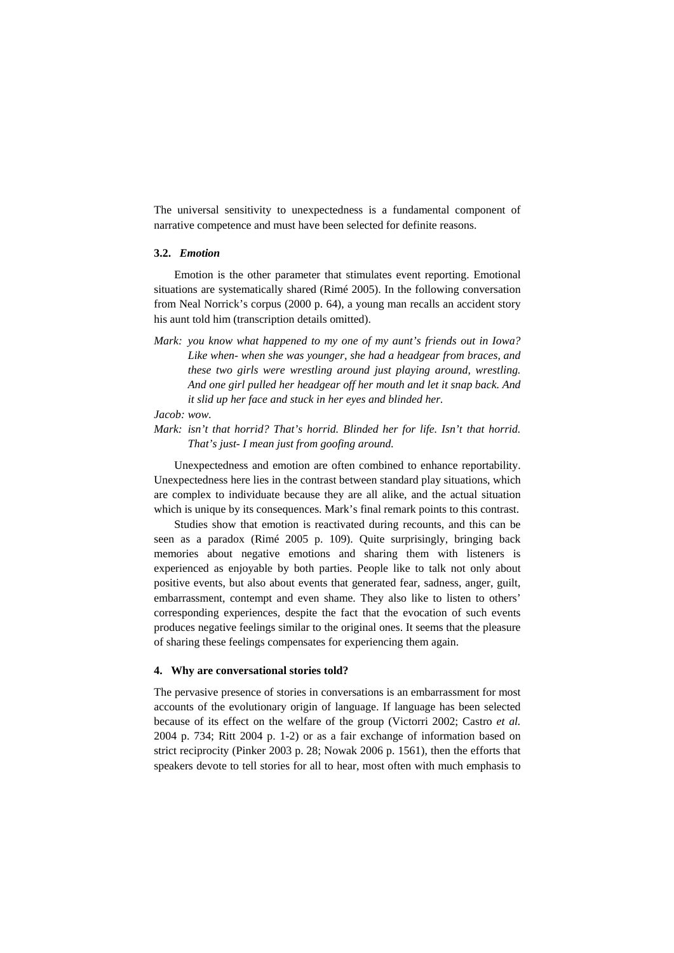The universal sensitivity to unexpectedness is a fundamental component of narrative competence and must have been selected for definite reasons.

#### **3.2.** *Emotion*

Emotion is the other parameter that stimulates event reporting. Emotional situations are systematically shared (Rimé 2005). In the following conversation from Neal Norrick's corpus (2000 p. 64), a young man recalls an accident story his aunt told him (transcription details omitted).

*Mark: you know what happened to my one of my aunt's friends out in Iowa? Like when- when she was younger, she had a headgear from braces, and these two girls were wrestling around just playing around, wrestling. And one girl pulled her headgear off her mouth and let it snap back. And it slid up her face and stuck in her eyes and blinded her.* 

### *Jacob: wow.*

*Mark: isn't that horrid? That's horrid. Blinded her for life. Isn't that horrid. That's just- I mean just from goofing around.* 

Unexpectedness and emotion are often combined to enhance reportability. Unexpectedness here lies in the contrast between standard play situations, which are complex to individuate because they are all alike, and the actual situation which is unique by its consequences. Mark's final remark points to this contrast.

Studies show that emotion is reactivated during recounts, and this can be seen as a paradox (Rimé 2005 p. 109). Quite surprisingly, bringing back memories about negative emotions and sharing them with listeners is experienced as enjoyable by both parties. People like to talk not only about positive events, but also about events that generated fear, sadness, anger, guilt, embarrassment, contempt and even shame. They also like to listen to others' corresponding experiences, despite the fact that the evocation of such events produces negative feelings similar to the original ones. It seems that the pleasure of sharing these feelings compensates for experiencing them again.

#### **4. Why are conversational stories told?**

The pervasive presence of stories in conversations is an embarrassment for most accounts of the evolutionary origin of language. If language has been selected because of its effect on the welfare of the group (Victorri 2002; Castro *et al.* 2004 p. 734; Ritt 2004 p. 1-2) or as a fair exchange of information based on strict reciprocity (Pinker 2003 p. 28; Nowak 2006 p. 1561), then the efforts that speakers devote to tell stories for all to hear, most often with much emphasis to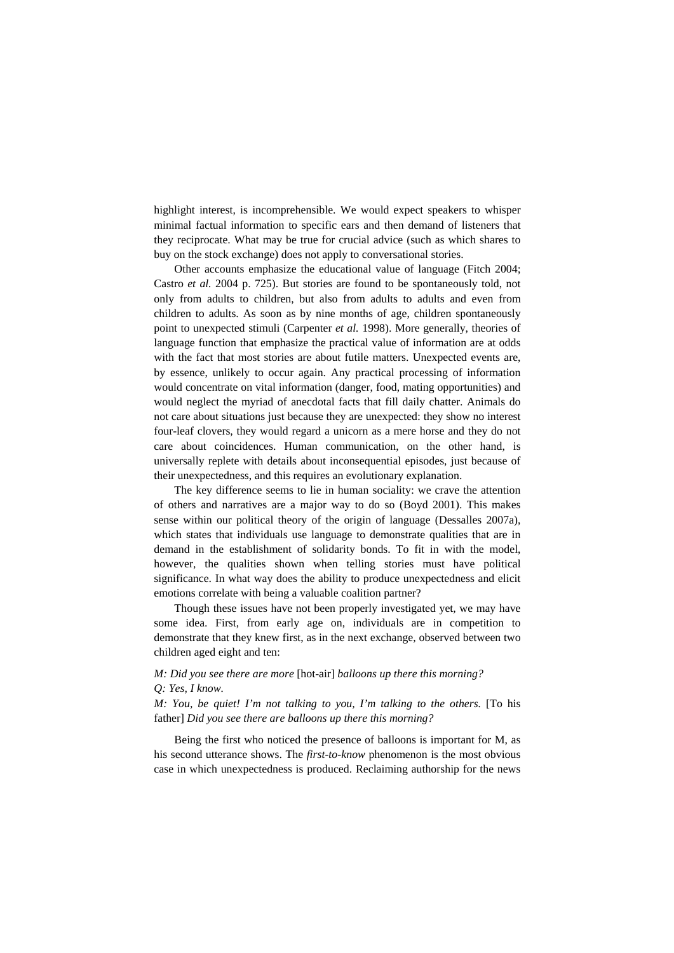highlight interest, is incomprehensible. We would expect speakers to whisper minimal factual information to specific ears and then demand of listeners that they reciprocate. What may be true for crucial advice (such as which shares to buy on the stock exchange) does not apply to conversational stories.

Other accounts emphasize the educational value of language (Fitch 2004; Castro *et al.* 2004 p. 725). But stories are found to be spontaneously told, not only from adults to children, but also from adults to adults and even from children to adults. As soon as by nine months of age, children spontaneously point to unexpected stimuli (Carpenter *et al.* 1998). More generally, theories of language function that emphasize the practical value of information are at odds with the fact that most stories are about futile matters. Unexpected events are, by essence, unlikely to occur again. Any practical processing of information would concentrate on vital information (danger, food, mating opportunities) and would neglect the myriad of anecdotal facts that fill daily chatter. Animals do not care about situations just because they are unexpected: they show no interest four-leaf clovers, they would regard a unicorn as a mere horse and they do not care about coincidences. Human communication, on the other hand, is universally replete with details about inconsequential episodes, just because of their unexpectedness, and this requires an evolutionary explanation.

The key difference seems to lie in human sociality: we crave the attention of others and narratives are a major way to do so (Boyd 2001). This makes sense within our political theory of the origin of language (Dessalles 2007a), which states that individuals use language to demonstrate qualities that are in demand in the establishment of solidarity bonds. To fit in with the model, however, the qualities shown when telling stories must have political significance. In what way does the ability to produce unexpectedness and elicit emotions correlate with being a valuable coalition partner?

Though these issues have not been properly investigated yet, we may have some idea. First, from early age on, individuals are in competition to demonstrate that they knew first, as in the next exchange, observed between two children aged eight and ten:

# *M: Did you see there are more* [hot-air] *balloons up there this morning?*

## *Q: Yes, I know.*

*M: You, be quiet! I'm not talking to you, I'm talking to the others.* [To his father] *Did you see there are balloons up there this morning?* 

Being the first who noticed the presence of balloons is important for M, as his second utterance shows. The *first-to-know* phenomenon is the most obvious case in which unexpectedness is produced. Reclaiming authorship for the news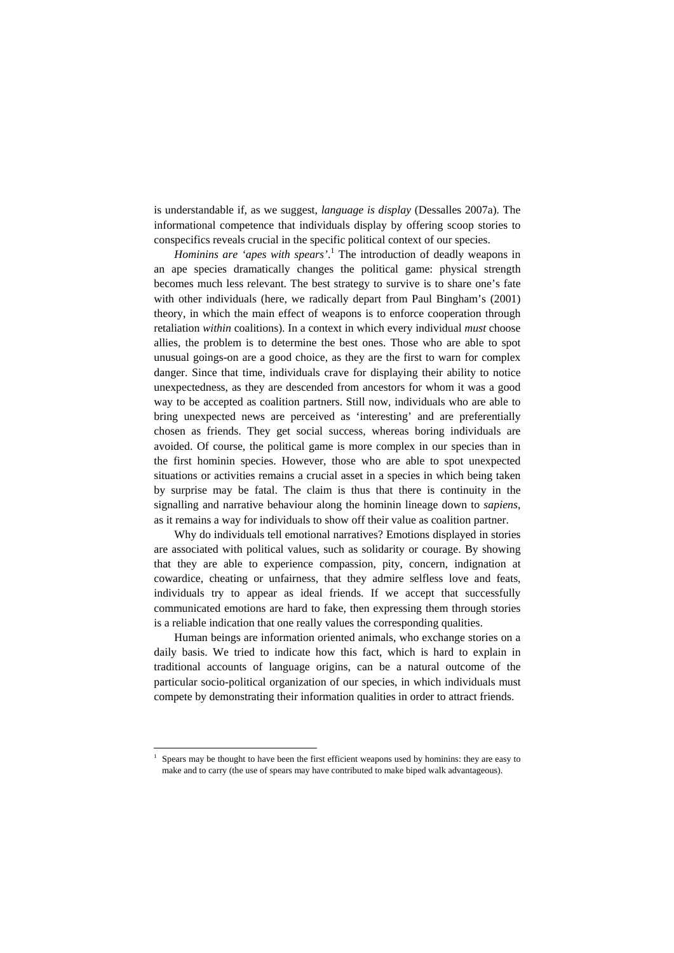is understandable if, as we suggest, *language is display* (Dessalles 2007a). The informational competence that individuals display by offering scoop stories to conspecifics reveals crucial in the specific political context of our species.

*Hominins are 'apes with spears'*.<sup>1</sup> The introduction of deadly weapons in an ape species dramatically changes the political game: physical strength becomes much less relevant. The best strategy to survive is to share one's fate with other individuals (here, we radically depart from Paul Bingham's (2001) theory, in which the main effect of weapons is to enforce cooperation through retaliation *within* coalitions). In a context in which every individual *must* choose allies, the problem is to determine the best ones. Those who are able to spot unusual goings-on are a good choice, as they are the first to warn for complex danger. Since that time, individuals crave for displaying their ability to notice unexpectedness, as they are descended from ancestors for whom it was a good way to be accepted as coalition partners. Still now, individuals who are able to bring unexpected news are perceived as 'interesting' and are preferentially chosen as friends. They get social success, whereas boring individuals are avoided. Of course, the political game is more complex in our species than in the first hominin species. However, those who are able to spot unexpected situations or activities remains a crucial asset in a species in which being taken by surprise may be fatal. The claim is thus that there is continuity in the signalling and narrative behaviour along the hominin lineage down to *sapiens*, as it remains a way for individuals to show off their value as coalition partner.

Why do individuals tell emotional narratives? Emotions displayed in stories are associated with political values, such as solidarity or courage. By showing that they are able to experience compassion, pity, concern, indignation at cowardice, cheating or unfairness, that they admire selfless love and feats, individuals try to appear as ideal friends. If we accept that successfully communicated emotions are hard to fake, then expressing them through stories is a reliable indication that one really values the corresponding qualities.

Human beings are information oriented animals, who exchange stories on a daily basis. We tried to indicate how this fact, which is hard to explain in traditional accounts of language origins, can be a natural outcome of the particular socio-political organization of our species, in which individuals must compete by demonstrating their information qualities in order to attract friends.

-

<sup>&</sup>lt;sup>1</sup> Spears may be thought to have been the first efficient weapons used by hominins: they are easy to make and to carry (the use of spears may have contributed to make biped walk advantageous).